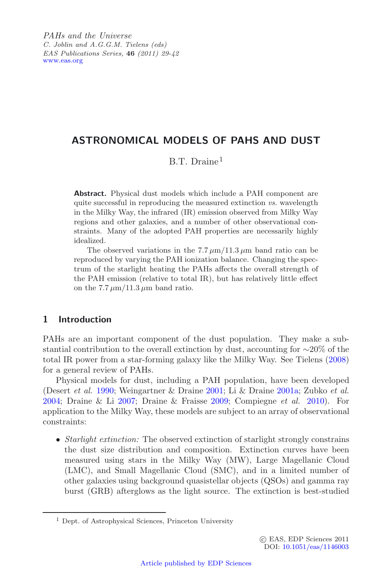*PAHs and the Universe C. Joblin and A.G.G.M. Tielens (eds) EAS Publications Series,* **46** *(2011) 29-42* [www.eas.org](http://www.eas.org)

# **ASTRONOMICAL MODELS OF PAHS AND DUST**

B.T. Draine<sup>1</sup>

**Abstract.** Physical dust models which include a PAH component are quite successful in reproducing the measured extinction *vs.* wavelength in the Milky Way, the infrared (IR) emission observed from Milky Way regions and other galaxies, and a number of other observational constraints. Many of the adopted PAH properties are necessarily highly idealized.

The observed variations in the 7.7  $\mu$ m/11.3  $\mu$ m band ratio can be reproduced by varying the PAH ionization balance. Changing the spectrum of the starlight heating the PAHs affects the overall strength of the PAH emission (relative to total IR), but has relatively little effect on the  $7.7 \mu m/11.3 \mu m$  band ratio.

# **1 Introduction**

PAHs are an important component of the dust population. They make a substantial contribution to the overall extinction by dust, accounting for ∼20% of the total IR power from a star-forming galaxy like the Milky Way. See Tielens [\(2008](#page-13-0)) for a general review of PAHs.

Physical models for dust, including a PAH population, have been developed (Desert *et al.* [1990;](#page-12-0) Weingartner & Draine [2001;](#page-13-1) Li & Draine [2001a;](#page-12-1) Zubko *et al.* [2004;](#page-13-2) Draine & Li [2007;](#page-12-2) Draine & Fraisse [2009;](#page-12-3) Compiegne *et al.* [2010](#page-12-4)). For application to the Milky Way, these models are subject to an array of observational constraints:

• *Starlight extinction:* The observed extinction of starlight strongly constrains the dust size distribution and composition. Extinction curves have been measured using stars in the Milky Way (MW), Large Magellanic Cloud (LMC), and Small Magellanic Cloud (SMC), and in a limited number of other galaxies using background quasistellar objects (QSOs) and gamma ray burst (GRB) afterglows as the light source. The extinction is best-studied

<sup>1</sup> Dept. of Astrophysical Sciences, Princeton University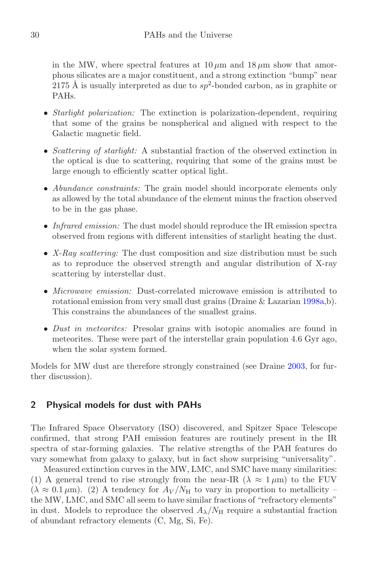in the MW, where spectral features at  $10 \mu m$  and  $18 \mu m$  show that amorphous silicates are a major constituent, and a strong extinction "bump" near 2175 Å is usually interpreted as due to  $sp^2$ -bonded carbon, as in graphite or PAHs.

- *Starlight polarization:* The extinction is polarization-dependent, requiring that some of the grains be nonspherical and aligned with respect to the Galactic magnetic field.
- *Scattering of starlight:* A substantial fraction of the observed extinction in the optical is due to scattering, requiring that some of the grains must be large enough to efficiently scatter optical light.
- *Abundance constraints:* The grain model should incorporate elements only as allowed by the total abundance of the element minus the fraction observed to be in the gas phase.
- *Infrared emission:* The dust model should reproduce the IR emission spectra observed from regions with different intensities of starlight heating the dust.
- *X-Ray scattering:* The dust composition and size distribution must be such as to reproduce the observed strength and angular distribution of X-ray scattering by interstellar dust.
- *Microwave emission:* Dust-correlated microwave emission is attributed to rotational emission from very small dust grains (Draine & Lazarian [1998a,](#page-12-5)b). This constrains the abundances of the smallest grains.
- *Dust in meteorites:* Presolar grains with isotopic anomalies are found in meteorites. These were part of the interstellar grain population 4.6 Gyr ago, when the solar system formed.

Models for MW dust are therefore strongly constrained (see Draine [2003,](#page-12-6) for further discussion).

## **2 Physical models for dust with PAHs**

The Infrared Space Observatory (ISO) discovered, and Spitzer Space Telescope confirmed, that strong PAH emission features are routinely present in the IR spectra of star-forming galaxies. The relative strengths of the PAH features do vary somewhat from galaxy to galaxy, but in fact show surprising "universality".

Measured extinction curves in the MW, LMC, and SMC have many similarities: (1) A general trend to rise strongly from the near-IR  $(\lambda \approx 1 \,\mu\text{m})$  to the FUV  $(\lambda \approx 0.1 \,\mu\text{m})$ . (2) A tendency for  $A_V/N_H$  to vary in proportion to metallicity – the MW, LMC, and SMC all seem to have similar fractions of "refractory elements" in dust. Models to reproduce the observed  $A_{\lambda}/N_{\rm H}$  require a substantial fraction of abundant refractory elements (C, Mg, Si, Fe).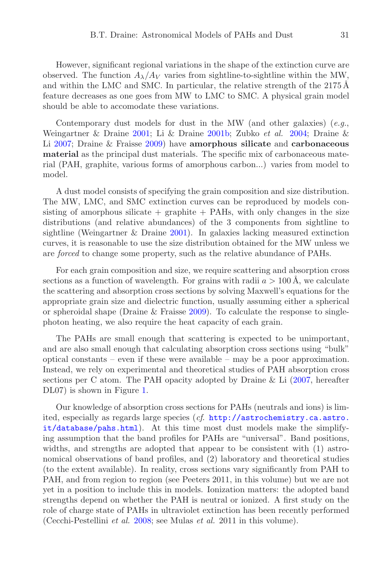However, significant regional variations in the shape of the extinction curve are observed. The function  $A_{\lambda}/A_V$  varies from sightline-to-sightline within the MW, and within the LMC and SMC. In particular, the relative strength of the  $2175 \text{\AA}$ feature decreases as one goes from MW to LMC to SMC. A physical grain model should be able to accomodate these variations.

Contemporary dust models for dust in the MW (and other galaxies) (*e.g.*, Weingartner & Draine [2001;](#page-13-1) Li & Draine [2001b;](#page-12-7) Zubko *et al.* [2004](#page-13-2); Draine & Li [2007;](#page-12-2) Draine & Fraisse [2009\)](#page-12-3) have **amorphous silicate** and **carbonaceous material** as the principal dust materials. The specific mix of carbonaceous material (PAH, graphite, various forms of amorphous carbon...) varies from model to model.

A dust model consists of specifying the grain composition and size distribution. The MW, LMC, and SMC extinction curves can be reproduced by models consisting of amorphous silicate  $+$  graphite  $+$  PAHs, with only changes in the size distributions (and relative abundances) of the 3 components from sightline to sightline (Weingartner & Draine [2001\)](#page-13-1). In galaxies lacking measured extinction curves, it is reasonable to use the size distribution obtained for the MW unless we are *forced* to change some property, such as the relative abundance of PAHs.

For each grain composition and size, we require scattering and absorption cross sections as a function of wavelength. For grains with radii  $a > 100 \text{ Å}$ , we calculate the scattering and absorption cross sections by solving Maxwell's equations for the appropriate grain size and dielectric function, usually assuming either a spherical or spheroidal shape (Draine & Fraisse [2009\)](#page-12-3). To calculate the response to singlephoton heating, we also require the heat capacity of each grain.

The PAHs are small enough that scattering is expected to be unimportant, and are also small enough that calculating absorption cross sections using "bulk" optical constants – even if these were available – may be a poor approximation. Instead, we rely on experimental and theoretical studies of PAH absorption cross sections per C atom. The PAH opacity adopted by Draine & Li  $(2007, \text{ hereafter})$  $(2007, \text{ hereafter})$ DL07) is shown in Figure [1.](#page-3-0)

Our knowledge of absorption cross sections for PAHs (neutrals and ions) is limited, especially as regards large species (*cf*. [http://astrochemistry.ca.astro.](http://astrochemistry.ca.astro.it/ database/pahs.html) [it/database/pahs.html](http://astrochemistry.ca.astro.it/ database/pahs.html)). At this time most dust models make the simplifying assumption that the band profiles for PAHs are "universal". Band positions, widths, and strengths are adopted that appear to be consistent with (1) astronomical observations of band profiles, and (2) laboratory and theoretical studies (to the extent available). In reality, cross sections vary significantly from PAH to PAH, and from region to region (see Peeters 2011, in this volume) but we are not yet in a position to include this in models. Ionization matters: the adopted band strengths depend on whether the PAH is neutral or ionized. A first study on the role of charge state of PAHs in ultraviolet extinction has been recently performed (Cecchi-Pestellini *et al.* [2008;](#page-12-8) see Mulas *et al.* 2011 in this volume).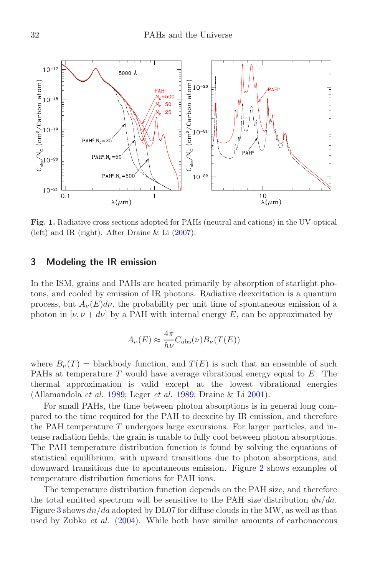<span id="page-3-0"></span>

**Fig. 1.** Radiative cross sections adopted for PAHs (neutral and cations) in the UV-optical (left) and IR (right). After Draine & Li [\(2007\)](#page-12-2).

### **3 Modeling the IR emission**

In the ISM, grains and PAHs are heated primarily by absorption of starlight photons, and cooled by emission of IR photons. Radiative deexcitation is a quantum process, but  $A_{\nu}(E)dv$ , the probability per unit time of spontaneous emission of a photon in  $[\nu, \nu + d\nu]$  by a PAH with internal energy E, can be approximated by

$$
A_{\nu}(E) \approx \frac{4\pi}{h\nu} C_{\rm abs}(\nu) B_{\nu}(T(E))
$$

where  $B_{\nu}(T) = \text{blackbody}$  function, and  $T(E)$  is such that an ensemble of such PAHs at temperature  $T$  would have average vibrational energy equal to  $E$ . The thermal approximation is valid except at the lowest vibrational energies (Allamandola *et al.* [1989;](#page-12-9) Leger *et al.* [1989](#page-12-10); Draine & Li [2001](#page-12-11)).

For small PAHs, the time between photon absorptions is in general long compared to the time required for the PAH to deexcite by IR emission, and therefore the PAH temperature  $T$  undergoes large excursions. For larger particles, and intense radiation fields, the grain is unable to fully cool between photon absorptions. The PAH temperature distribution function is found by solving the equations of statistical equilibrium, with upward transitions due to photon absorptions, and downward transitions due to spontaneous emission. Figure [2](#page-4-0) shows examples of temperature distribution functions for PAH ions.

The temperature distribution function depends on the PAH size, and therefore the total emitted spectrum will be sensitive to the PAH size distribution  $dn/da$ . Figure [3](#page-5-0) shows  $dn/da$  adopted by DL07 for diffuse clouds in the MW, as well as that used by Zubko *et al.* [\(2004\)](#page-13-2). While both have similar amounts of carbonaceous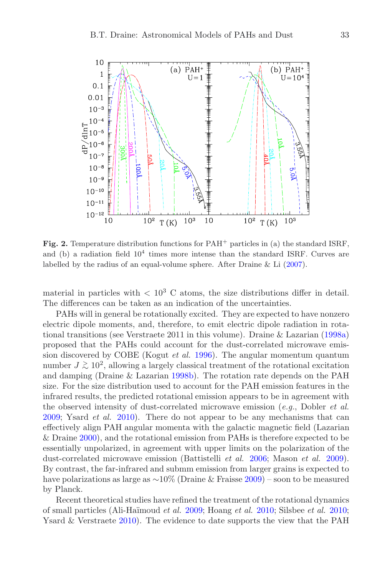<span id="page-4-0"></span>

**Fig. 2.** Temperature distribution functions for PAH<sup>+</sup> particles in (a) the standard ISRF, and (b) a radiation field  $10^4$  times more intense than the standard ISRF. Curves are labelled by the radius of an equal-volume sphere. After Draine & Li  $(2007)$ .

material in particles with  $\langle 10^3 \text{ C atoms} \rangle$ , the size distributions differ in detail. The differences can be taken as an indication of the uncertainties.

PAHs will in general be rotationally excited. They are expected to have nonzero electric dipole moments, and, therefore, to emit electric dipole radiation in rotational transitions (see Verstraete 2011 in this volume). Draine & Lazarian [\(1998a](#page-12-5)) proposed that the PAHs could account for the dust-correlated microwave emission discovered by COBE (Kogut *et al.* [1996](#page-12-12)). The angular momentum quantum number  $J \gtrsim 10^2$ , allowing a largely classical treatment of the rotational excitation and damping (Draine & Lazarian [1998b\)](#page-12-13). The rotation rate depends on the PAH size. For the size distribution used to account for the PAH emission features in the infrared results, the predicted rotational emission appears to be in agreement with the observed intensity of dust-correlated microwave emission (*e.g.*, Dobler *et al.* [2009;](#page-12-14) Ysard *et al.* [2010\)](#page-13-3). There do not appear to be any mechanisms that can effectively align PAH angular momenta with the galactic magnetic field (Lazarian & Draine [2000\)](#page-12-15), and the rotational emission from PAHs is therefore expected to be essentially unpolarized, in agreement with upper limits on the polarization of the dust-correlated microwave emission (Battistelli *et al.* [2006;](#page-12-16) Mason *et al.* [2009\)](#page-12-17). By contrast, the far-infrared and submm emission from larger grains is expected to have polarizations as large as ∼10% (Draine & Fraisse [2009\)](#page-12-3) – soon to be measured by Planck.

Recent theoretical studies have refined the treatment of the rotational dynamics of small particles (Ali-Ha¨ımoud *et al.* [2009;](#page-12-18) Hoang *et al.* [2010;](#page-12-19) Silsbee *et al.* [2010](#page-13-4); Ysard & Verstraete [2010\)](#page-13-5). The evidence to date supports the view that the PAH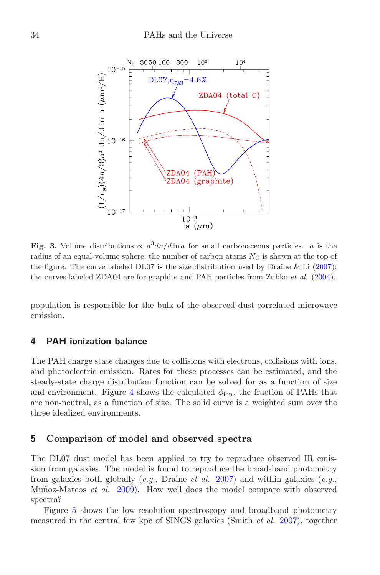<span id="page-5-0"></span>

**Fig. 3.** Volume distributions  $\propto a^3 d n/d \ln a$  for small carbonaceous particles. a is the radius of an equal-volume sphere; the number of carbon atoms  $N_{\rm C}$  is shown at the top of the figure. The curve labeled DL07 is the size distribution used by Draine & Li  $(2007)$  $(2007)$ ; the curves labeled ZDA04 are for graphite and PAH particles from Zubko *et al.* [\(2004](#page-13-2)).

population is responsible for the bulk of the observed dust-correlated microwave emission.

## **4 PAH ionization balance**

The PAH charge state changes due to collisions with electrons, collisions with ions, and photoelectric emission. Rates for these processes can be estimated, and the steady-state charge distribution function can be solved for as a function of size and environment. Figure [4](#page-6-0) shows the calculated  $\phi_{\text{ion}}$ , the fraction of PAHs that are non-neutral, as a function of size. The solid curve is a weighted sum over the three idealized environments.

## **5 Comparison of model and observed spectra**

The DL07 dust model has been applied to try to reproduce observed IR emission from galaxies. The model is found to reproduce the broad-band photometry from galaxies both globally (*e.g.*, Draine *et al.* [2007\)](#page-12-20) and within galaxies (*e.g.*, Muñoz-Mateos *et al.* [2009](#page-13-6)). How well does the model compare with observed spectra?

Figure [5](#page-7-0) shows the low-resolution spectroscopy and broadband photometry measured in the central few kpc of SINGS galaxies (Smith *et al.* [2007\)](#page-13-7), together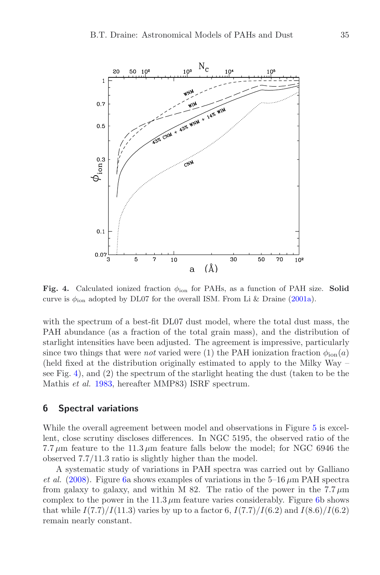

<span id="page-6-0"></span>**Fig. 4.** Calculated ionized fraction  $\phi_{\text{ion}}$  for PAHs, as a function of PAH size. **Solid** curve is  $\phi_{\text{ion}}$  adopted by DL07 for the overall ISM. From Li & Draine [\(2001a](#page-12-1)).

with the spectrum of a best-fit DL07 dust model, where the total dust mass, the PAH abundance (as a fraction of the total grain mass), and the distribution of starlight intensities have been adjusted. The agreement is impressive, particularly since two things that were *not* varied were (1) the PAH ionization fraction  $\phi_{\text{ion}}(a)$ (held fixed at the distribution originally estimated to apply to the Milky Way – see Fig. [4\)](#page-6-0), and (2) the spectrum of the starlight heating the dust (taken to be the Mathis *et al.* [1983,](#page-13-8) hereafter MMP83) ISRF spectrum.

## **6 Spectral variations**

While the overall agreement between model and observations in Figure [5](#page-7-0) is excellent, close scrutiny discloses differences. In NGC 5195, the observed ratio of the 7.7  $\mu$ m feature to the 11.3  $\mu$ m feature falls below the model; for NGC 6946 the observed 7.7/11.3 ratio is slightly higher than the model.

A systematic study of variations in PAH spectra was carried out by Galliano *et al.* [\(2008\)](#page-12-21). Figure [6a](#page-8-0) shows examples of variations in the  $5{\text -}16 \,\mu\text{m}$  PAH spectra from galaxy to galaxy, and within M 82. The ratio of the power in the  $7.7 \,\mu m$ complex to the power in the 11.3  $\mu$ m feature varies considerably. Figure [6b](#page-8-0) shows that while  $I(7.7)/I(11.3)$  varies by up to a factor 6,  $I(7.7)/I(6.2)$  and  $I(8.6)/I(6.2)$ remain nearly constant.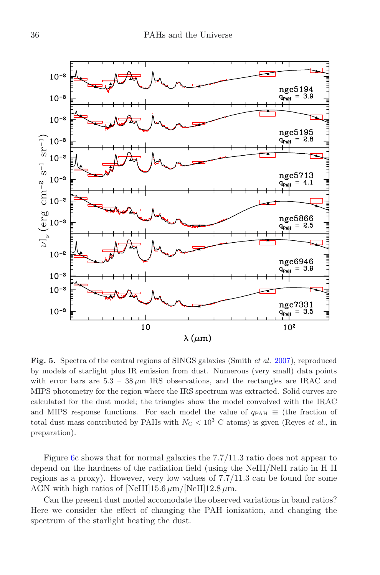

<span id="page-7-0"></span>**Fig. 5.** Spectra of the central regions of SINGS galaxies (Smith *et al.* [2007](#page-13-7)), reproduced by models of starlight plus IR emission from dust. Numerous (very small) data points with error bars are  $5.3 - 38 \mu m$  IRS observations, and the rectangles are IRAC and MIPS photometry for the region where the IRS spectrum was extracted. Solid curves are calculated for the dust model; the triangles show the model convolved with the IRAC and MIPS response functions. For each model the value of  $q_{PAH} \equiv$  (the fraction of total dust mass contributed by PAHs with  $N<sub>C</sub> < 10<sup>3</sup>$  C atoms) is given (Reyes *et al.*, in preparation).

Figure [6c](#page-8-0) shows that for normal galaxies the 7.7/11.3 ratio does not appear to depend on the hardness of the radiation field (using the NeIII/NeII ratio in H II regions as a proxy). However, very low values of 7.7/11.3 can be found for some AGN with high ratios of [NeIII]15.6  $\mu$ m/[NeII]12.8  $\mu$ m.

Can the present dust model accomodate the observed variations in band ratios? Here we consider the effect of changing the PAH ionization, and changing the spectrum of the starlight heating the dust.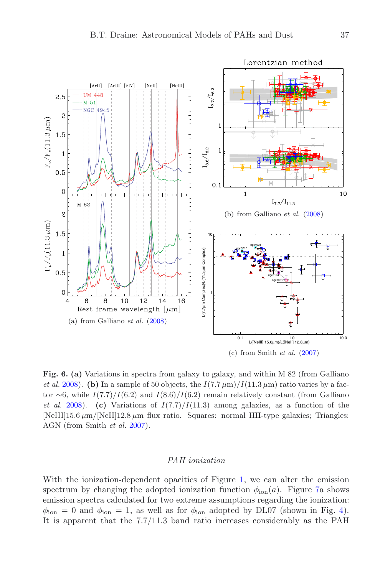

<span id="page-8-0"></span>**Fig. 6. (a)** Variations in spectra from galaxy to galaxy, and within M 82 (from Galliano *et al.* [2008](#page-12-21)). **(b)** In a sample of 50 objects, the  $I(7.7 \mu m)/I(11.3 \mu m)$  ratio varies by a factor ∼6, while  $I(7.7)/I(6.2)$  and  $I(8.6)/I(6.2)$  remain relatively constant (from Galliano *et al.* [2008\)](#page-12-21). **(c)** Variations of  $I(7.7)/I(11.3)$  among galaxies, as a function of the  $[NelII]15.6 \mu m/[NelI]12.8 \mu m$  flux ratio. Squares: normal HII-type galaxies; Triangles: AGN (from Smith *et al.* [2007\)](#page-13-7).

#### *PAH ionization*

With the ionization-dependent opacities of Figure [1,](#page-3-0) we can alter the emission spectrum by changing the adopted ionization function  $\phi_{\text{ion}}(a)$ . Figure [7a](#page-9-0) shows emission spectra calculated for two extreme assumptions regarding the ionization:  $\phi_{\text{ion}} = 0$  and  $\phi_{\text{ion}} = 1$ , as well as for  $\phi_{\text{ion}}$  adopted by DL07 (shown in Fig. [4\)](#page-6-0). It is apparent that the 7.7/11.3 band ratio increases considerably as the PAH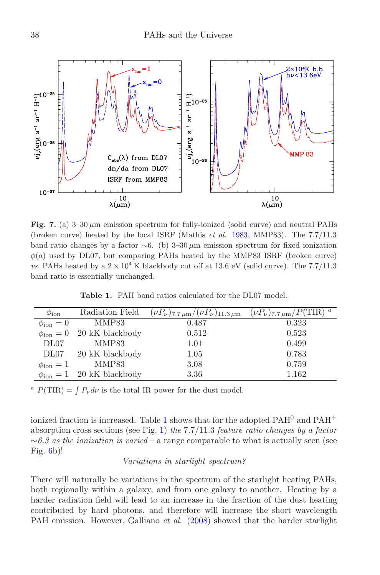<span id="page-9-0"></span>

<span id="page-9-1"></span>**Fig. 7.** (a) 3–30 μm emission spectrum for fully-ionized (solid curve) and neutral PAHs (broken curve) heated by the local ISRF (Mathis *et al.* [1983](#page-13-8), MMP83). The 7.7/11.3 band ratio changes by a factor  $~\sim 6.$  (b) 3–30 μm emission spectrum for fixed ionization  $\phi(a)$  used by DL07, but comparing PAHs heated by the MMP83 ISRF (broken curve) *vs.* PAHs heated by a  $2 \times 10^4$  K blackbody cut off at 13.6 eV (solid curve). The 7.7/11.3 band ratio is essentially unchanged.

| $\phi_{\rm ion}$     | Radiation Field                         | $(\nu P_\nu)_{7.7\,\mu\text{m}}/(\nu P_\nu)_{11.3\,\mu\text{m}}$ | $(\nu P_{\nu})_{7.7 \mu m}/P(\text{TIR})$ <sup>a</sup> |
|----------------------|-----------------------------------------|------------------------------------------------------------------|--------------------------------------------------------|
| $\phi_{\rm ion}=0$   | MMP83                                   | 0.487                                                            | 0.323                                                  |
|                      | $\phi_{\rm ion} = 0$ 20 kK blackbody    | 0.512                                                            | 0.523                                                  |
| DL07                 | MMP83                                   | 1.01                                                             | 0.499                                                  |
|                      | DL07 20 kK blackbody                    | 1.05                                                             | 0.783                                                  |
| $\phi_{\rm ion} = 1$ | MMP83                                   | 3.08                                                             | 0.759                                                  |
|                      | $\phi_{\text{ion}} = 1$ 20 kK blackbody | 3.36                                                             | 1.162                                                  |

**Table 1.** PAH band ratios calculated for the DL07 model.

<sup>a</sup>  $P(\text{TIR}) = \int P_{\nu} d\nu$  is the total IR power for the dust model.

ionized fraction is increased. Table [1](#page-9-1) shows that for the adopted  $\mathrm{PAH^{0}}$  and  $\mathrm{PAH^{+}}$ absorption cross sections (see Fig. [1\)](#page-3-0) *the* 7.7/11.3 *feature ratio changes by a factor* ∼*6.3 as the ionization is varied* – a range comparable to what is actually seen (see Fig. [6b](#page-8-0))!

#### *Variations in starlight spectrum?*

There will naturally be variations in the spectrum of the starlight heating PAHs, both regionally within a galaxy, and from one galaxy to another. Heating by a harder radiation field will lead to an increase in the fraction of the dust heating contributed by hard photons, and therefore will increase the short wavelength PAH emission. However, Galliano *et al.* [\(2008\)](#page-12-21) showed that the harder starlight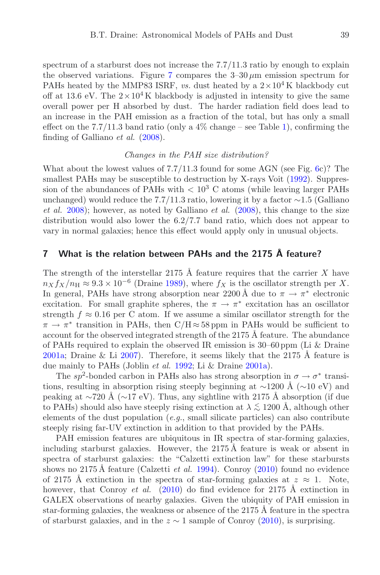spectrum of a starburst does not increase the  $7.7/11.3$  ratio by enough to explain the observed variations. Figure [7](#page-9-0) compares the  $3-30 \mu m$  emission spectrum for PAHs heated by the MMP83 ISRF, *vs.* dust heated by a  $2 \times 10^4$  K blackbody cut off at 13.6 eV. The  $2\times10^4$  K blackbody is adjusted in intensity to give the same overall power per H absorbed by dust. The harder radiation field does lead to an increase in the PAH emission as a fraction of the total, but has only a small effect on the 7.7/11.3 band ratio (only a  $4\%$  change – see Table [1\)](#page-9-1), confirming the finding of Galliano *et al.* [\(2008\)](#page-12-21).

## *Changes in the PAH size distribution?*

What about the lowest values of  $7.7/11.3$  found for some AGN (see Fig. [6c](#page-8-0))? The smallest PAHs may be susceptible to destruction by X-rays Voit [\(1992\)](#page-13-9). Suppression of the abundances of PAHs with  $\langle 10^3 \text{ C atoms}$  (while leaving larger PAHs unchanged) would reduce the 7.7/11.3 ratio, lowering it by a factor  $\sim$ 1.5 (Galliano *et al.* [2008\)](#page-12-21); however, as noted by Galliano *et al.* [\(2008\)](#page-12-21), this change to the size distribution would also lower the 6.2/7.7 band ratio, which does not appear to vary in normal galaxies; hence this effect would apply only in unusual objects.

## **7 What is the relation between PAHs and the 2175 ˚A feature?**

The strength of the interstellar 2175 Å feature requires that the carrier X have  $n_X f_X/n_H \approx 9.3 \times 10^{-6}$  (Draine [1989\)](#page-12-22), where  $f_X$  is the oscillator strength per X. In general, PAHs have strong absorption near 2200 Å due to  $\pi \to \pi^*$  electronic excitation. For small graphite spheres, the  $\pi \to \pi^*$  excitation has an oscillator strength  $f \approx 0.16$  per C atom. If we assume a similar oscillator strength for the  $\pi \to \pi^*$  transition in PAHs, then C/H ≈ 58 ppm in PAHs would be sufficient to account for the observed integrated strength of the  $2175 \text{ Å}$  feature. The abundance of PAHs required to explain the observed IR emission is 30–60 ppm (Li & Draine [2001a;](#page-12-1) Draine & Li [2007\)](#page-12-2). Therefore, it seems likely that the 2175  $\AA$  feature is due mainly to PAHs (Joblin *et al.* [1992](#page-12-23); Li & Draine [2001a](#page-12-1)).

The sp<sup>2</sup>-bonded carbon in PAHs also has strong absorption in  $\sigma \to \sigma^*$  transitions, resulting in absorption rising steeply beginning at  $\sim$ 1200 Å ( $\sim$ 10 eV) and peaking at ∼720 Å (∼17 eV). Thus, any sightline with 2175 Å absorption (if due to PAHs) should also have steeply rising extinction at  $\lambda \lesssim 1200 \text{ Å}$ , although other elements of the dust population (*e.g.*, small silicate particles) can also contribute steeply rising far-UV extinction in addition to that provided by the PAHs.

PAH emission features are ubiquitous in IR spectra of star-forming galaxies, including starburst galaxies. However, the  $2175 \text{ Å}$  feature is weak or absent in spectra of starburst galaxies: the "Calzetti extinction law" for these starbursts shows no 2175 Å feature (Calzetti *et al.* [1994\)](#page-12-24). Conroy  $(2010)$  found no evidence of 2175 A extinction in the spectra of star-forming galaxies at  $z \approx 1$ . Note, however, that Conroy *et al.* [\(2010\)](#page-12-26) do find evidence for 2175 Å extinction in GALEX observations of nearby galaxies. Given the ubiquity of PAH emission in star-forming galaxies, the weakness or absence of the 2175  $\AA$  feature in the spectra of starburst galaxies, and in the  $z \sim 1$  sample of Conroy [\(2010](#page-12-25)), is surprising.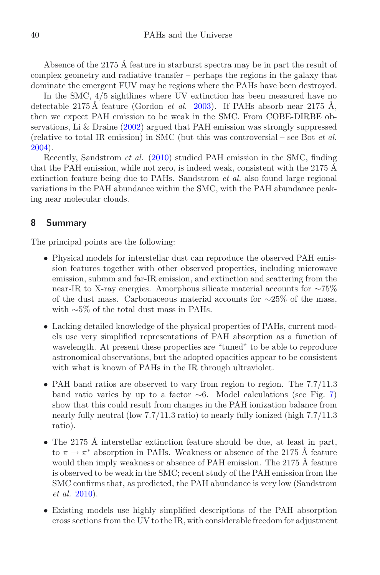Absence of the 2175 Å feature in starburst spectra may be in part the result of complex geometry and radiative transfer – perhaps the regions in the galaxy that dominate the emergent FUV may be regions where the PAHs have been destroyed.

In the SMC, 4/5 sightlines where UV extinction has been measured have no detectable  $2175 \text{ Å}$  feature (Gordon *et al.* [2003](#page-12-27)). If PAHs absorb near  $2175 \text{ Å}$ , then we expect PAH emission to be weak in the SMC. From COBE-DIRBE observations, Li & Draine [\(2002\)](#page-12-28) argued that PAH emission was strongly suppressed (relative to total IR emission) in SMC (but this was controversial – see Bot *et al.* [2004\)](#page-12-29).

Recently, Sandstrom *et al.* [\(2010](#page-13-10)) studied PAH emission in the SMC, finding that the PAH emission, while not zero, is indeed weak, consistent with the 2175  $\AA$ extinction feature being due to PAHs. Sandstrom *et al.* also found large regional variations in the PAH abundance within the SMC, with the PAH abundance peaking near molecular clouds.

## **8 Summary**

The principal points are the following:

- Physical models for interstellar dust can reproduce the observed PAH emission features together with other observed properties, including microwave emission, submm and far-IR emission, and extinction and scattering from the near-IR to X-ray energies. Amorphous silicate material accounts for ∼75% of the dust mass. Carbonaceous material accounts for  $\sim$ 25% of the mass, with ∼5% of the total dust mass in PAHs.
- Lacking detailed knowledge of the physical properties of PAHs, current models use very simplified representations of PAH absorption as a function of wavelength. At present these properties are "tuned" to be able to reproduce astronomical observations, but the adopted opacities appear to be consistent with what is known of PAHs in the IR through ultraviolet.
- PAH band ratios are observed to vary from region to region. The  $7.7/11.3$ band ratio varies by up to a factor  $\sim$ 6. Model calculations (see Fig. [7\)](#page-9-0) show that this could result from changes in the PAH ionization balance from nearly fully neutral (low 7.7/11.3 ratio) to nearly fully ionized (high 7.7/11.3 ratio).
- The 2175 Å interstellar extinction feature should be due, at least in part, to  $\pi \to \pi^*$  absorption in PAHs. Weakness or absence of the 2175 Å feature would then imply weakness or absence of PAH emission. The 2175 Å feature is observed to be weak in the SMC; recent study of the PAH emission from the SMC confirms that, as predicted, the PAH abundance is very low (Sandstrom *et al.* [2010\)](#page-13-10).
- Existing models use highly simplified descriptions of the PAH absorption cross sections from the UV to the IR, with considerable freedom for adjustment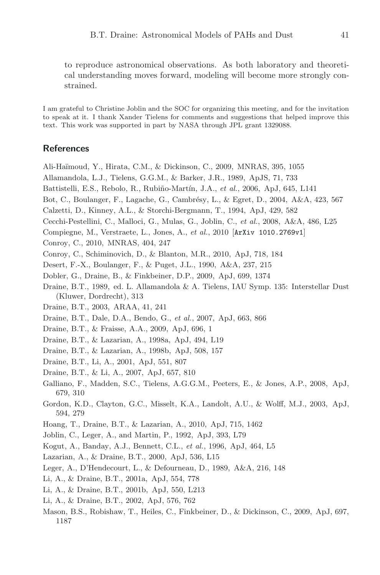to reproduce astronomical observations. As both laboratory and theoretical understanding moves forward, modeling will become more strongly constrained.

I am grateful to Christine Joblin and the SOC for organizing this meeting, and for the invitation to speak at it. I thank Xander Tielens for comments and suggestions that helped improve this text. This work was supported in part by NASA through JPL grant 1329088.

## **References**

<span id="page-12-18"></span>Ali-Ha¨ımoud, Y., Hirata, C.M., & Dickinson, C., 2009, MNRAS, 395, 1055

- <span id="page-12-9"></span>Allamandola, L.J., Tielens, G.G.M., & Barker, J.R., 1989, ApJS, 71, 733
- <span id="page-12-16"></span>Battistelli, E.S., Rebolo, R., Rubiño-Martín, J.A., *et al.*, 2006, ApJ, 645, L141
- <span id="page-12-29"></span>Bot, C., Boulanger, F., Lagache, G., Cambrésy, L., & Egret, D., 2004, A&A, 423, 567
- <span id="page-12-24"></span>Calzetti, D., Kinney, A.L., & Storchi-Bergmann, T., 1994, ApJ, 429, 582
- <span id="page-12-8"></span>Cecchi-Pestellini, C., Malloci, G., Mulas, G., Joblin, C., *et al.*, 2008, A&A, 486, L25
- <span id="page-12-4"></span>Compiegne, M., Verstraete, L., Jones, A., *et al.*, 2010 [ArXiv 1010.2769v1]

<span id="page-12-25"></span>Conroy, C., 2010, MNRAS, 404, 247

- <span id="page-12-26"></span>Conroy, C., Schiminovich, D., & Blanton, M.R., 2010, ApJ, 718, 184
- <span id="page-12-0"></span>Desert, F.-X., Boulanger, F., & Puget, J.L., 1990, A&A, 237, 215
- <span id="page-12-14"></span>Dobler, G., Draine, B., & Finkbeiner, D.P., 2009, ApJ, 699, 1374
- <span id="page-12-22"></span>Draine, B.T., 1989, ed. L. Allamandola & A. Tielens, IAU Symp. 135: Interstellar Dust (Kluwer, Dordrecht), 313
- <span id="page-12-6"></span>Draine, B.T., 2003, ARAA, 41, 241
- <span id="page-12-20"></span>Draine, B.T., Dale, D.A., Bendo, G., *et al.*, 2007, ApJ, 663, 866
- <span id="page-12-3"></span>Draine, B.T., & Fraisse, A.A., 2009, ApJ, 696, 1
- <span id="page-12-5"></span>Draine, B.T., & Lazarian, A., 1998a, ApJ, 494, L19
- <span id="page-12-13"></span>Draine, B.T., & Lazarian, A., 1998b, ApJ, 508, 157
- <span id="page-12-11"></span>Draine, B.T., Li, A., 2001, ApJ, 551, 807
- <span id="page-12-2"></span>Draine, B.T., & Li, A., 2007, ApJ, 657, 810
- <span id="page-12-21"></span>Galliano, F., Madden, S.C., Tielens, A.G.G.M., Peeters, E., & Jones, A.P., 2008, ApJ, 679, 310
- <span id="page-12-27"></span>Gordon, K.D., Clayton, G.C., Misselt, K.A., Landolt, A.U., & Wolff, M.J., 2003, ApJ, 594, 279
- <span id="page-12-19"></span>Hoang, T., Draine, B.T., & Lazarian, A., 2010, ApJ, 715, 1462
- <span id="page-12-23"></span>Joblin, C., Leger, A., and Martin, P., 1992, ApJ, 393, L79
- <span id="page-12-12"></span>Kogut, A., Banday, A.J., Bennett, C.L., *et al.*, 1996, ApJ, 464, L5
- <span id="page-12-15"></span>Lazarian, A., & Draine, B.T., 2000, ApJ, 536, L15
- <span id="page-12-10"></span>Leger, A., D'Hendecourt, L., & Defourneau, D., 1989, A&A, 216, 148
- <span id="page-12-1"></span>Li, A., & Draine, B.T., 2001a, ApJ, 554, 778
- <span id="page-12-7"></span>Li, A., & Draine, B.T., 2001b, ApJ, 550, L213
- <span id="page-12-28"></span>Li, A., & Draine, B.T., 2002, ApJ, 576, 762
- <span id="page-12-17"></span>Mason, B.S., Robishaw, T., Heiles, C., Finkbeiner, D., & Dickinson, C., 2009, ApJ, 697, 1187